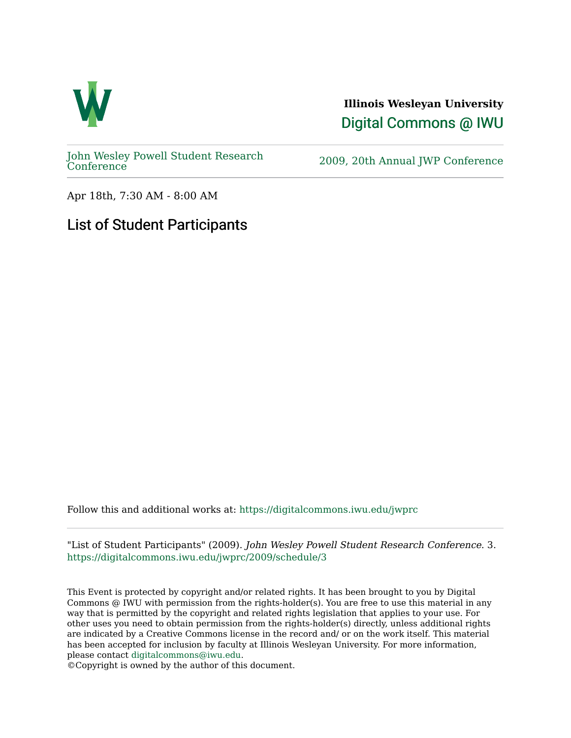

**Illinois Wesleyan University**  [Digital Commons @ IWU](https://digitalcommons.iwu.edu/) 

[John Wesley Powell Student Research](https://digitalcommons.iwu.edu/jwprc) 

2009, 20th Annual JWP [Conference](https://digitalcommons.iwu.edu/jwprc)

Apr 18th, 7:30 AM - 8:00 AM

## List of Student Participants

Follow this and additional works at: [https://digitalcommons.iwu.edu/jwprc](https://digitalcommons.iwu.edu/jwprc?utm_source=digitalcommons.iwu.edu%2Fjwprc%2F2009%2Fschedule%2F3&utm_medium=PDF&utm_campaign=PDFCoverPages) 

"List of Student Participants" (2009). John Wesley Powell Student Research Conference. 3. [https://digitalcommons.iwu.edu/jwprc/2009/schedule/3](https://digitalcommons.iwu.edu/jwprc/2009/schedule/3?utm_source=digitalcommons.iwu.edu%2Fjwprc%2F2009%2Fschedule%2F3&utm_medium=PDF&utm_campaign=PDFCoverPages) 

This Event is protected by copyright and/or related rights. It has been brought to you by Digital Commons @ IWU with permission from the rights-holder(s). You are free to use this material in any way that is permitted by the copyright and related rights legislation that applies to your use. For other uses you need to obtain permission from the rights-holder(s) directly, unless additional rights are indicated by a Creative Commons license in the record and/ or on the work itself. This material has been accepted for inclusion by faculty at Illinois Wesleyan University. For more information, please contact [digitalcommons@iwu.edu.](mailto:digitalcommons@iwu.edu)

©Copyright is owned by the author of this document.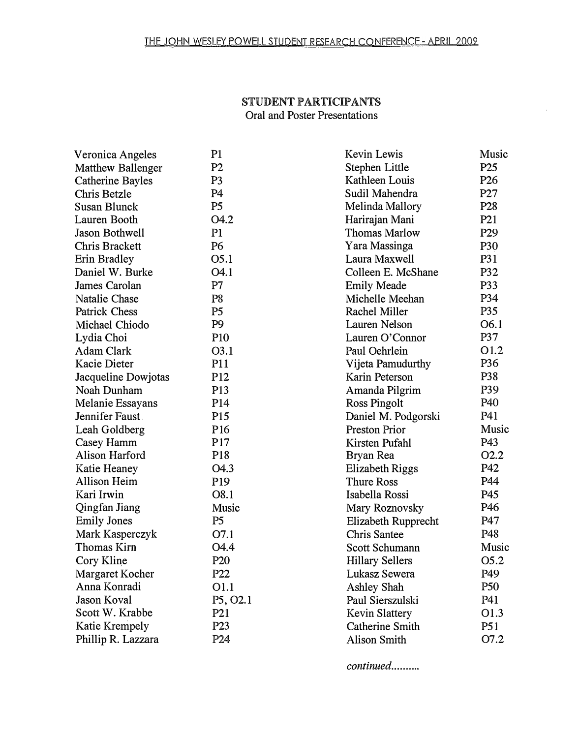## STUDENT PARTICIPANTS Oral and Poster Presentations

 $\mathcal{L}_{\rm{in}}$ 

| Veronica Angeles        | P1               | Kevin Lewis            | Music            |
|-------------------------|------------------|------------------------|------------------|
| Matthew Ballenger       | P <sub>2</sub>   | Stephen Little         | P <sub>25</sub>  |
| <b>Catherine Bayles</b> | P <sub>3</sub>   | Kathleen Louis         | P <sub>26</sub>  |
| Chris Betzle            | P <sub>4</sub>   | Sudil Mahendra         | P27              |
| <b>Susan Blunck</b>     | P <sub>5</sub>   | Melinda Mallory        | P <sub>28</sub>  |
| Lauren Booth            | O4.2             | Harirajan Mani         | P <sub>21</sub>  |
| <b>Jason Bothwell</b>   | P <sub>1</sub>   | <b>Thomas Marlow</b>   | P <sub>29</sub>  |
| Chris Brackett          | P6               | Yara Massinga          | <b>P30</b>       |
| Erin Bradley            | O5.1             | Laura Maxwell          | P31              |
| Daniel W. Burke         | O4.1             | Colleen E. McShane     | P32              |
| James Carolan           | P7               | <b>Emily Meade</b>     | P33              |
| Natalie Chase           | P <sub>8</sub>   | Michelle Meehan        | P34              |
| <b>Patrick Chess</b>    | P <sub>5</sub>   | Rachel Miller          | P35              |
| Michael Chiodo          | P <sub>9</sub>   | Lauren Nelson          | O6.1             |
| Lydia Choi              | P <sub>10</sub>  | Lauren O'Connor        | <b>P37</b>       |
| <b>Adam Clark</b>       | O3.1             | Paul Oehrlein          | O1.2             |
| Kacie Dieter            | P11              | Vijeta Pamudurthy      | P36              |
| Jacqueline Dowjotas     | P <sub>12</sub>  | Karin Peterson         | P38              |
| Noah Dunham             | P <sub>13</sub>  | Amanda Pilgrim         | P39              |
| Melanie Essayans        | P <sub>14</sub>  | <b>Ross Pingolt</b>    | P40              |
| Jennifer Faust          | P <sub>15</sub>  | Daniel M. Podgorski    | P41              |
| Leah Goldberg           | P <sub>16</sub>  | <b>Preston Prior</b>   | Music            |
| Casey Hamm              | P17              | Kirsten Pufahl         | P43              |
| Alison Harford          | P18              | Bryan Rea              | 02.2             |
| Katie Heaney            | O <sub>4.3</sub> | Elizabeth Riggs        | P42              |
| <b>Allison Heim</b>     | P <sub>19</sub>  | <b>Thure Ross</b>      | P44              |
| Kari Irwin              | O8.1             | Isabella Rossi         | P45              |
| Qingfan Jiang           | Music            | Mary Roznovsky         | P46              |
| <b>Emily Jones</b>      | P <sub>5</sub>   | Elizabeth Rupprecht    | P47              |
| Mark Kasperczyk         | O7.1             | <b>Chris Santee</b>    | P48              |
| <b>Thomas Kirn</b>      | O <sub>4.4</sub> | <b>Scott Schumann</b>  | Music            |
| Cory Kline              | P <sub>20</sub>  | <b>Hillary Sellers</b> | O <sub>5.2</sub> |
| Margaret Kocher         | P22              | Lukasz Sewera          | P49              |
| Anna Konradi            | O1.1             | Ashley Shah            | P50              |
| Jason Koval             | P5, O2.1         | Paul Sierszulski       | P41              |
| Scott W. Krabbe         | P <sub>21</sub>  | <b>Kevin Slattery</b>  | O1.3             |
| Katie Krempely          | P <sub>23</sub>  | <b>Catherine Smith</b> | P <sub>51</sub>  |
| Phillip R. Lazzara      | P24              | <b>Alison Smith</b>    | O7.2             |

continued..........